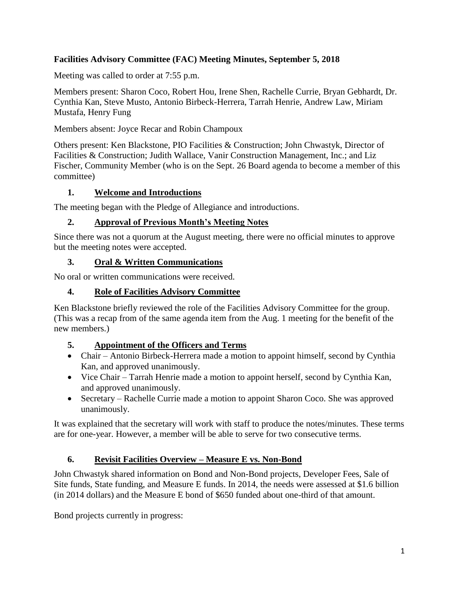# **Facilities Advisory Committee (FAC) Meeting Minutes, September 5, 2018**

Meeting was called to order at 7:55 p.m.

Members present: Sharon Coco, Robert Hou, Irene Shen, Rachelle Currie, Bryan Gebhardt, Dr. Cynthia Kan, Steve Musto, Antonio Birbeck-Herrera, Tarrah Henrie, Andrew Law, Miriam Mustafa, Henry Fung

Members absent: Joyce Recar and Robin Champoux

Others present: Ken Blackstone, PIO Facilities & Construction; John Chwastyk, Director of Facilities & Construction; Judith Wallace, Vanir Construction Management, Inc.; and Liz Fischer, Community Member (who is on the Sept. 26 Board agenda to become a member of this committee)

## **1. Welcome and Introductions**

The meeting began with the Pledge of Allegiance and introductions.

## **2. Approval of Previous Month's Meeting Notes**

Since there was not a quorum at the August meeting, there were no official minutes to approve but the meeting notes were accepted.

## **3. Oral & Written Communications**

No oral or written communications were received.

## **4. Role of Facilities Advisory Committee**

Ken Blackstone briefly reviewed the role of the Facilities Advisory Committee for the group. (This was a recap from of the same agenda item from the Aug. 1 meeting for the benefit of the new members.)

#### **5. Appointment of the Officers and Terms**

- Chair Antonio Birbeck-Herrera made a motion to appoint himself, second by Cynthia Kan, and approved unanimously.
- Vice Chair Tarrah Henrie made a motion to appoint herself, second by Cynthia Kan, and approved unanimously.
- Secretary Rachelle Currie made a motion to appoint Sharon Coco. She was approved unanimously.

It was explained that the secretary will work with staff to produce the notes/minutes. These terms are for one-year. However, a member will be able to serve for two consecutive terms.

# **6. Revisit Facilities Overview – Measure E vs. Non-Bond**

John Chwastyk shared information on Bond and Non-Bond projects, Developer Fees, Sale of Site funds, State funding, and Measure E funds. In 2014, the needs were assessed at \$1.6 billion (in 2014 dollars) and the Measure E bond of \$650 funded about one-third of that amount.

Bond projects currently in progress: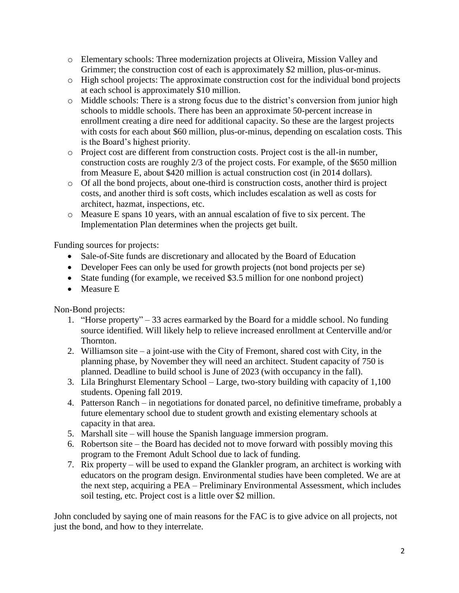- o Elementary schools: Three modernization projects at Oliveira, Mission Valley and Grimmer; the construction cost of each is approximately \$2 million, plus-or-minus.
- o High school projects: The approximate construction cost for the individual bond projects at each school is approximately \$10 million.
- o Middle schools: There is a strong focus due to the district's conversion from junior high schools to middle schools. There has been an approximate 50-percent increase in enrollment creating a dire need for additional capacity. So these are the largest projects with costs for each about \$60 million, plus-or-minus, depending on escalation costs. This is the Board's highest priority.
- o Project cost are different from construction costs. Project cost is the all-in number, construction costs are roughly 2/3 of the project costs. For example, of the \$650 million from Measure E, about \$420 million is actual construction cost (in 2014 dollars).
- o Of all the bond projects, about one-third is construction costs, another third is project costs, and another third is soft costs, which includes escalation as well as costs for architect, hazmat, inspections, etc.
- o Measure E spans 10 years, with an annual escalation of five to six percent. The Implementation Plan determines when the projects get built.

Funding sources for projects:

- Sale-of-Site funds are discretionary and allocated by the Board of Education
- Developer Fees can only be used for growth projects (not bond projects per se)
- State funding (for example, we received \$3.5 million for one nonbond project)
- Measure E

Non-Bond projects:

- 1. "Horse property" 33 acres earmarked by the Board for a middle school. No funding source identified. Will likely help to relieve increased enrollment at Centerville and/or Thornton.
- 2. Williamson site a joint-use with the City of Fremont, shared cost with City, in the planning phase, by November they will need an architect. Student capacity of 750 is planned. Deadline to build school is June of 2023 (with occupancy in the fall).
- 3. Lila Bringhurst Elementary School Large, two-story building with capacity of 1,100 students. Opening fall 2019.
- 4. Patterson Ranch in negotiations for donated parcel, no definitive timeframe, probably a future elementary school due to student growth and existing elementary schools at capacity in that area.
- 5. Marshall site will house the Spanish language immersion program.
- 6. Robertson site the Board has decided not to move forward with possibly moving this program to the Fremont Adult School due to lack of funding.
- 7. Rix property will be used to expand the Glankler program, an architect is working with educators on the program design. Environmental studies have been completed. We are at the next step, acquiring a PEA – Preliminary Environmental Assessment, which includes soil testing, etc. Project cost is a little over \$2 million.

John concluded by saying one of main reasons for the FAC is to give advice on all projects, not just the bond, and how to they interrelate.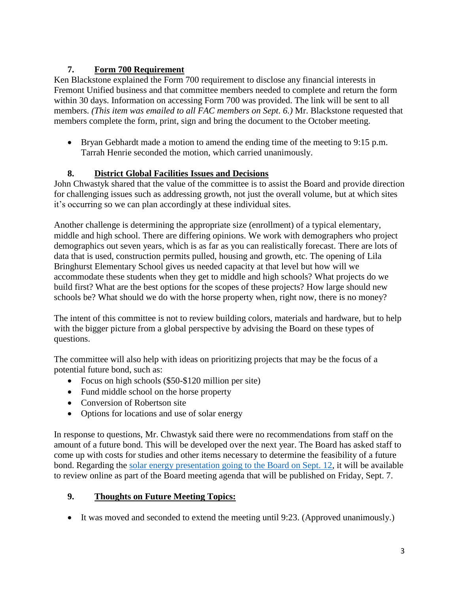# **7. Form 700 Requirement**

Ken Blackstone explained the Form 700 requirement to disclose any financial interests in Fremont Unified business and that committee members needed to complete and return the form within 30 days. Information on accessing Form 700 was provided. The link will be sent to all members. *(This item was emailed to all FAC members on Sept. 6.)* Mr. Blackstone requested that members complete the form, print, sign and bring the document to the October meeting.

**Bryan Gebhardt made a motion to amend the ending time of the meeting to 9:15 p.m.** Tarrah Henrie seconded the motion, which carried unanimously.

# **8. District Global Facilities Issues and Decisions**

John Chwastyk shared that the value of the committee is to assist the Board and provide direction for challenging issues such as addressing growth, not just the overall volume, but at which sites it's occurring so we can plan accordingly at these individual sites.

Another challenge is determining the appropriate size (enrollment) of a typical elementary, middle and high school. There are differing opinions. We work with demographers who project demographics out seven years, which is as far as you can realistically forecast. There are lots of data that is used, construction permits pulled, housing and growth, etc. The opening of Lila Bringhurst Elementary School gives us needed capacity at that level but how will we accommodate these students when they get to middle and high schools? What projects do we build first? What are the best options for the scopes of these projects? How large should new schools be? What should we do with the horse property when, right now, there is no money?

The intent of this committee is not to review building colors, materials and hardware, but to help with the bigger picture from a global perspective by advising the Board on these types of questions.

The committee will also help with ideas on prioritizing projects that may be the focus of a potential future bond, such as:

- Focus on high schools (\$50-\$120 million per site)
- Fund middle school on the horse property
- Conversion of Robertson site
- Options for locations and use of solar energy

In response to questions, Mr. Chwastyk said there were no recommendations from staff on the amount of a future bond. This will be developed over the next year. The Board has asked staff to come up with costs for studies and other items necessary to determine the feasibility of a future bond. Regarding the [solar energy presentation going to the Board on Sept. 12,](https://www.boarddocs.com/ca/fremont/Board.nsf/files/B4C64Z040598/$file/180912%20FUSD%20NAM%20Solar%20Presentation.pdf) it will be available to review online as part of the Board meeting agenda that will be published on Friday, Sept. 7.

# **9. Thoughts on Future Meeting Topics:**

It was moved and seconded to extend the meeting until 9:23. (Approved unanimously.)